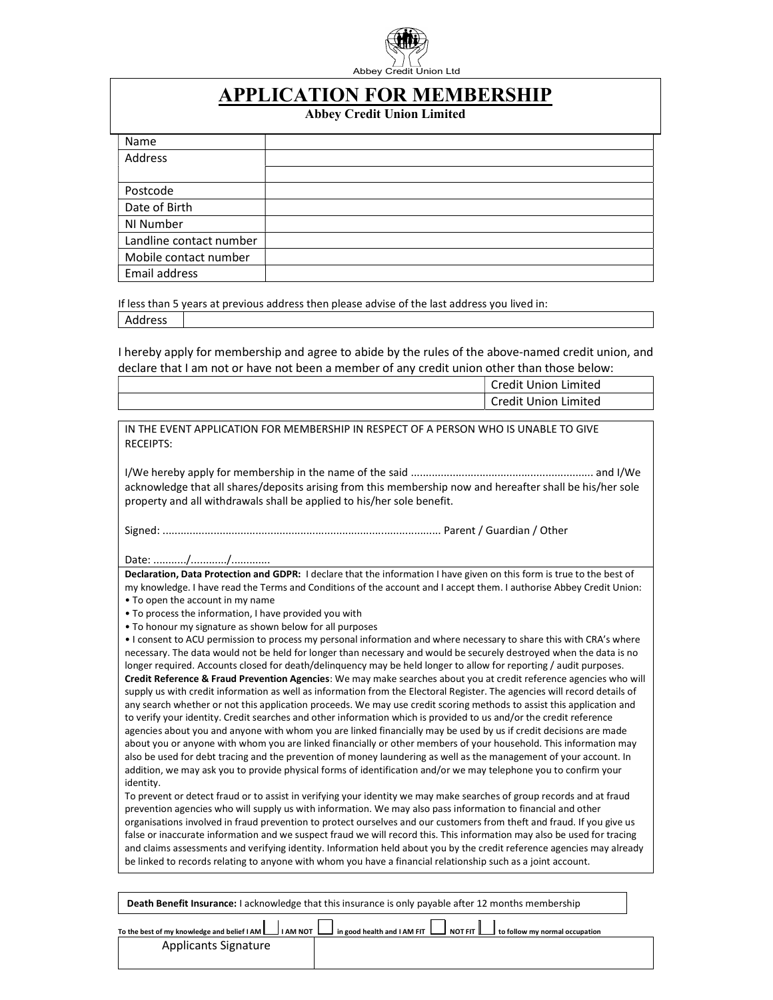

## APPLICATION FOR MEMBERSHIP

Abbey Credit Union Limited

| Name                    |  |
|-------------------------|--|
| Address                 |  |
|                         |  |
| Postcode                |  |
| Date of Birth           |  |
| NI Number               |  |
| Landline contact number |  |
| Mobile contact number   |  |
| Email address           |  |

If less than 5 years at previous address then please advise of the last address you lived in: Address

I hereby apply for membership and agree to abide by the rules of the above-named credit union, and declare that I am not or have not been a member of any credit union other than those below:

|                                                                                                                                                                                                                                                   | <b>Credit Union Limited</b> |  |  |  |  |
|---------------------------------------------------------------------------------------------------------------------------------------------------------------------------------------------------------------------------------------------------|-----------------------------|--|--|--|--|
|                                                                                                                                                                                                                                                   | <b>Credit Union Limited</b> |  |  |  |  |
|                                                                                                                                                                                                                                                   |                             |  |  |  |  |
| IN THE EVENT APPLICATION FOR MEMBERSHIP IN RESPECT OF A PERSON WHO IS UNABLE TO GIVE                                                                                                                                                              |                             |  |  |  |  |
| <b>RECEIPTS:</b>                                                                                                                                                                                                                                  |                             |  |  |  |  |
|                                                                                                                                                                                                                                                   |                             |  |  |  |  |
|                                                                                                                                                                                                                                                   |                             |  |  |  |  |
| acknowledge that all shares/deposits arising from this membership now and hereafter shall be his/her sole<br>property and all withdrawals shall be applied to his/her sole benefit.                                                               |                             |  |  |  |  |
|                                                                                                                                                                                                                                                   |                             |  |  |  |  |
|                                                                                                                                                                                                                                                   |                             |  |  |  |  |
|                                                                                                                                                                                                                                                   |                             |  |  |  |  |
|                                                                                                                                                                                                                                                   |                             |  |  |  |  |
| Declaration, Data Protection and GDPR: I declare that the information I have given on this form is true to the best of                                                                                                                            |                             |  |  |  |  |
| my knowledge. I have read the Terms and Conditions of the account and I accept them. I authorise Abbey Credit Union:                                                                                                                              |                             |  |  |  |  |
| • To open the account in my name                                                                                                                                                                                                                  |                             |  |  |  |  |
| . To process the information, I have provided you with                                                                                                                                                                                            |                             |  |  |  |  |
| . To honour my signature as shown below for all purposes<br>. I consent to ACU permission to process my personal information and where necessary to share this with CRA's where                                                                   |                             |  |  |  |  |
| necessary. The data would not be held for longer than necessary and would be securely destroyed when the data is no                                                                                                                               |                             |  |  |  |  |
| longer required. Accounts closed for death/delinquency may be held longer to allow for reporting / audit purposes.                                                                                                                                |                             |  |  |  |  |
| Credit Reference & Fraud Prevention Agencies: We may make searches about you at credit reference agencies who will                                                                                                                                |                             |  |  |  |  |
| supply us with credit information as well as information from the Electoral Register. The agencies will record details of                                                                                                                         |                             |  |  |  |  |
| any search whether or not this application proceeds. We may use credit scoring methods to assist this application and                                                                                                                             |                             |  |  |  |  |
| to verify your identity. Credit searches and other information which is provided to us and/or the credit reference                                                                                                                                |                             |  |  |  |  |
| agencies about you and anyone with whom you are linked financially may be used by us if credit decisions are made<br>about you or anyone with whom you are linked financially or other members of your household. This information may            |                             |  |  |  |  |
| also be used for debt tracing and the prevention of money laundering as well as the management of your account. In                                                                                                                                |                             |  |  |  |  |
| addition, we may ask you to provide physical forms of identification and/or we may telephone you to confirm your                                                                                                                                  |                             |  |  |  |  |
| identity.                                                                                                                                                                                                                                         |                             |  |  |  |  |
| To prevent or detect fraud or to assist in verifying your identity we may make searches of group records and at fraud                                                                                                                             |                             |  |  |  |  |
| prevention agencies who will supply us with information. We may also pass information to financial and other                                                                                                                                      |                             |  |  |  |  |
| organisations involved in fraud prevention to protect ourselves and our customers from theft and fraud. If you give us                                                                                                                            |                             |  |  |  |  |
| false or inaccurate information and we suspect fraud we will record this. This information may also be used for tracing<br>and claims assessments and verifying identity. Information held about you by the credit reference agencies may already |                             |  |  |  |  |
| be linked to records relating to anyone with whom you have a financial relationship such as a joint account.                                                                                                                                      |                             |  |  |  |  |
|                                                                                                                                                                                                                                                   |                             |  |  |  |  |
|                                                                                                                                                                                                                                                   |                             |  |  |  |  |
| Death Benefit Insurance: I acknowledge that this insurance is only payable after 12 months membership                                                                                                                                             |                             |  |  |  |  |
| $\Box$<br>and the property of the state of the                                                                                                                                                                                                    | $\overline{ }$              |  |  |  |  |

| To the best of my knowledge and belief I AM L | <b>I AM NOT L</b> |  |  |  | I in good health and I AM FIT $\Box$ NOT FIT $\Box$ to follow my normal occupation |
|-----------------------------------------------|-------------------|--|--|--|------------------------------------------------------------------------------------|
| Applicants Signature                          |                   |  |  |  |                                                                                    |
|                                               |                   |  |  |  |                                                                                    |